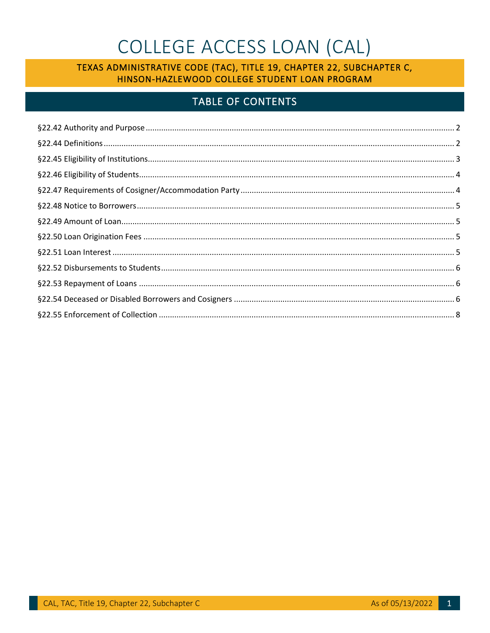# COLLEGE ACCESS LOAN (CAL)

### TEXAS ADMINISTRATIVE CODE (TAC), TITLE 19, CHAPTER 22, SUBCHAPTER C, HINSON-HAZLEWOOD COLLEGE STUDENT LOAN PROGRAM

## **TABLE OF CONTENTS**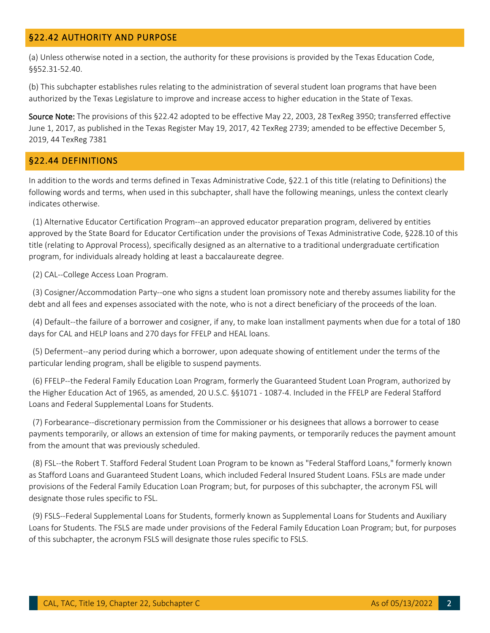#### <span id="page-1-0"></span>§22.42 AUTHORITY AND PURPOSE

(a) Unless otherwise noted in a section, the authority for these provisions is provided by the Texas Education Code, §§[52.31-52.40](https://52.31-52.40).

(b) This subchapter establishes rules relating to the administration of several student loan programs that have been authorized by the Texas Legislature to improve and increase access to higher education in the State of Texas.

Source Note: The provisions of this §22.42 adopted to be effective May 22, 2003, 28 TexReg 3950; transferred effective June 1, 2017, as published in the Texas Register May 19, 2017, 42 TexReg 2739; amended to be effective December 5, 2019, 44 TexReg 7381

#### <span id="page-1-1"></span>§22.44 DEFINITIONS

In addition to the words and terms defined in Texas Administrative Code, §22.1 of this title (relating to Definitions) the following words and terms, when used in this subchapter, shall have the following meanings, unless the context clearly indicates otherwise.

(1) Alternative Educator Certification Program--an approved educator preparation program, delivered by entities approved by the State Board for Educator Certification under the provisions of Texas Administrative Code, §228.10 of this title (relating to Approval Process), specifically designed as an alternative to a traditional undergraduate certification program, for individuals already holding at least a baccalaureate degree.

(2) CAL--College Access Loan Program.

(3) Cosigner/Accommodation Party--one who signs a student loan promissory note and thereby assumes liability for the debt and all fees and expenses associated with the note, who is not a direct beneficiary of the proceeds of the loan.

(4) Default--the failure of a borrower and cosigner, if any, to make loan installment payments when due for a total of 180 days for CAL and HELP loans and 270 days for FFELP and HEAL loans.

(5) Deferment--any period during which a borrower, upon adequate showing of entitlement under the terms of the particular lending program, shall be eligible to suspend payments.

(6) FFELP--the Federal Family Education Loan Program, formerly the Guaranteed Student Loan Program, authorized by the Higher Education Act of 1965, as amended, 20 U.S.C. §§1071 - 1087-4. Included in the FFELP are Federal Stafford Loans and Federal Supplemental Loans for Students.

(7) Forbearance--discretionary permission from the Commissioner or his designees that allows a borrower to cease payments temporarily, or allows an extension of time for making payments, or temporarily reduces the payment amount from the amount that was previously scheduled.

(8) FSL--the Robert T. Stafford Federal Student Loan Program to be known as "Federal Stafford Loans," formerly known as Stafford Loans and Guaranteed Student Loans, which included Federal Insured Student Loans. FSLs are made under provisions of the Federal Family Education Loan Program; but, for purposes of this subchapter, the acronym FSL will designate those rules specific to FSL.

(9) FSLS--Federal Supplemental Loans for Students, formerly known as Supplemental Loans for Students and Auxiliary Loans for Students. The FSLS are made under provisions of the Federal Family Education Loan Program; but, for purposes of this subchapter, the acronym FSLS will designate those rules specific to FSLS.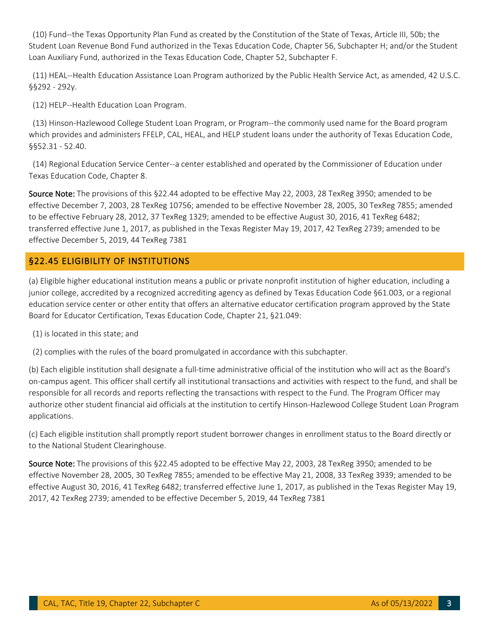(10) Fund--the Texas Opportunity Plan Fund as created by the Constitution of the State of Texas, Article III, 50b; the Student Loan Revenue Bond Fund authorized in the Texas Education Code, Chapter 56, Subchapter H; and/or the Student Loan Auxiliary Fund, authorized in the Texas Education Code, Chapter 52, Subchapter F.

(11) HEAL--Health Education Assistance Loan Program authorized by the Public Health Service Act, as amended, 42 U.S.C. §§292 - 292y.

(12) HELP--Health Education Loan Program.

(13) Hinson-Hazlewood College Student Loan Program, or Program--the commonly used name for the Board program which provides and administers FFELP, CAL, HEAL, and HELP student loans under the authority of Texas Education Code, §§52.31 - 52.40.

(14) Regional Education Service Center--a center established and operated by the Commissioner of Education under Texas Education Code, Chapter 8.

Source Note: The provisions of this §22.44 adopted to be effective May 22, 2003, 28 TexReg 3950; amended to be effective December 7, 2003, 28 TexReg 10756; amended to be effective November 28, 2005, 30 TexReg 7855; amended to be effective February 28, 2012, 37 TexReg 1329; amended to be effective August 30, 2016, 41 TexReg 6482; transferred effective June 1, 2017, as published in the Texas Register May 19, 2017, 42 TexReg 2739; amended to be effective December 5, 2019, 44 TexReg 7381

#### <span id="page-2-0"></span>§22.45 ELIGIBILITY OF INSTITUTIONS

(a) Eligible higher educational institution means a public or private nonprofit institution of higher education, including a junior college, accredited by a recognized accrediting agency as defined by Texas Education Code §61.003, or a regional education service center or other entity that offers an alternative educator certification program approved by the State Board for Educator Certification, Texas Education Code, Chapter 21, §21.049:

(1) is located in this state; and

(2) complies with the rules of the board promulgated in accordance with this subchapter.

(b) Each eligible institution shall designate a full-time administrative official of the institution who will act as the Board's on-campus agent. This officer shall certify all institutional transactions and activities with respect to the fund, and shall be responsible for all records and reports reflecting the transactions with respect to the Fund. The Program Officer may authorize other student financial aid officials at the institution to certify Hinson-Hazlewood College Student Loan Program applications.

(c) Each eligible institution shall promptly report student borrower changes in enrollment status to the Board directly or to the National Student Clearinghouse.

Source Note: The provisions of this §22.45 adopted to be effective May 22, 2003, 28 TexReg 3950; amended to be effective November 28, 2005, 30 TexReg 7855; amended to be effective May 21, 2008, 33 TexReg 3939; amended to be effective August 30, 2016, 41 TexReg 6482; transferred effective June 1, 2017, as published in the Texas Register May 19, 2017, 42 TexReg 2739; amended to be effective December 5, 2019, 44 TexReg 7381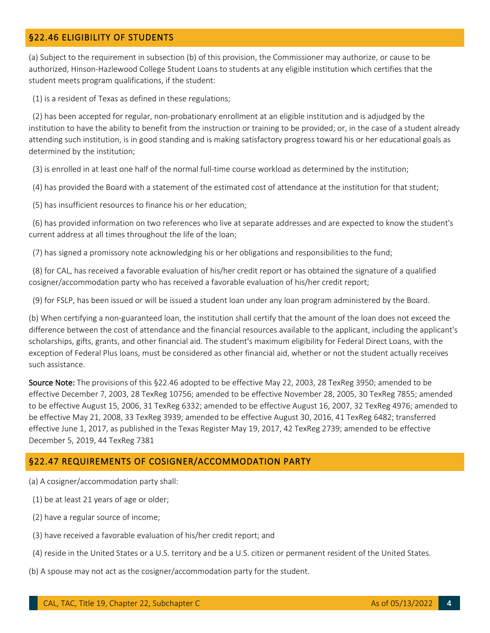#### <span id="page-3-0"></span>§22.46 ELIGIBILITY OF STUDENTS

(a) Subject to the requirement in subsection (b) of this provision, the Commissioner may authorize, or cause to be authorized, Hinson-Hazlewood College Student Loans to students at any eligible institution which certifies that the student meets program qualifications, if the student:

(1) is a resident of Texas as defined in these regulations;

 (2) has been accepted for regular, non-probationary enrollment at an eligible institution and is adjudged by the institution to have the ability to benefit from the instruction or training to be provided; or, in the case of a student already attending such institution, is in good standing and is making satisfactory progress toward his or her educational goals as determined by the institution;

(3) is enrolled in at least one half of the normal full-time course workload as determined by the institution;

(4) has provided the Board with a statement of the estimated cost of attendance at the institution for that student;

(5) has insufficient resources to finance his or her education;

(6) has provided information on two references who live at separate addresses and are expected to know the student's current address at all times throughout the life of the loan;

(7) has signed a promissory note acknowledging his or her obligations and responsibilities to the fund;

(8) for CAL, has received a favorable evaluation of his/her credit report or has obtained the signature of a qualified cosigner/accommodation party who has received a favorable evaluation of his/her credit report;

(9) for FSLP, has been issued or will be issued a student loan under any loan program administered by the Board.

(b) When certifying a non-guaranteed loan, the institution shall certify that the amount of the loan does not exceed the difference between the cost of attendance and the financial resources available to the applicant, including the applicant's scholarships, gifts, grants, and other financial aid. The student's maximum eligibility for Federal Direct Loans, with the exception of Federal Plus loans, must be considered as other financial aid, whether or not the student actually receives such assistance.

Source Note: The provisions of this §22.46 adopted to be effective May 22, 2003, 28 TexReg 3950; amended to be effective December 7, 2003, 28 TexReg 10756; amended to be effective November 28, 2005, 30 TexReg 7855; amended to be effective August 15, 2006, 31 TexReg 6332; amended to be effective August 16, 2007, 32 TexReg 4976; amended to be effective May 21, 2008, 33 TexReg 3939; amended to be effective August 30, 2016, 41 TexReg 6482; transferred effective June 1, 2017, as published in the Texas Register May 19, 2017, 42 TexReg 2739; amended to be effective December 5, 2019, 44 TexReg 7381

#### <span id="page-3-1"></span>§22.47 REQUIREMENTS OF COSIGNER/ACCOMMODATION PARTY

(a) A cosigner/accommodation party shall:

- (1) be at least 21 years of age or older;
- (2) have a regular source of income;
- (3) have received a favorable evaluation of his/her credit report; and
- (4) reside in the United States or a U.S. territory and be a U.S. citizen or permanent resident of the United States.
- (b) A spouse may not act as the cosigner/accommodation party for the student.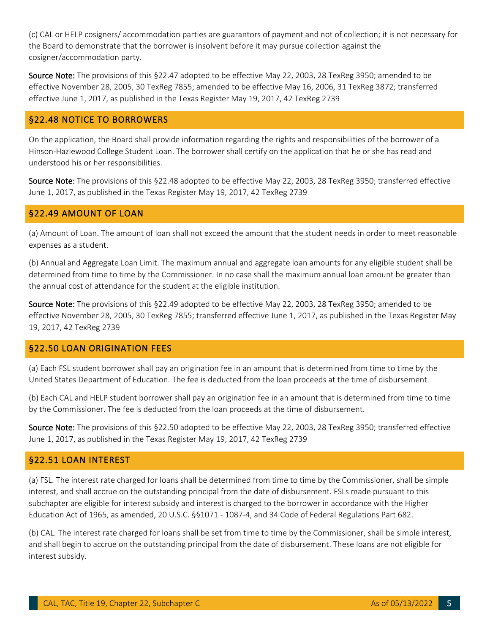(c) CAL or HELP cosigners/ accommodation parties are guarantors of payment and not of collection; it is not necessary for the Board to demonstrate that the borrower is insolvent before it may pursue collection against the cosigner/accommodation party.

Source Note: The provisions of this §22.47 adopted to be effective May 22, 2003, 28 TexReg 3950; amended to be effective November 28, 2005, 30 TexReg 7855; amended to be effective May 16, 2006, 31 TexReg 3872; transferred effective June 1, 2017, as published in the Texas Register May 19, 2017, 42 TexReg 2739

#### <span id="page-4-0"></span>§22.48 NOTICE TO BORROWERS

On the application, the Board shall provide information regarding the rights and responsibilities of the borrower of a Hinson-Hazlewood College Student Loan. The borrower shall certify on the application that he or she has read and understood his or her responsibilities.

Source Note: The provisions of this §22.48 adopted to be effective May 22, 2003, 28 TexReg 3950; transferred effective June 1, 2017, as published in the Texas Register May 19, 2017, 42 TexReg 2739

#### <span id="page-4-1"></span>§22.49 AMOUNT OF LOAN

(a) Amount of Loan. The amount of loan shall not exceed the amount that the student needs in order to meet reasonable expenses as a student.

(b) Annual and Aggregate Loan Limit. The maximum annual and aggregate loan amounts for any eligible student shall be determined from time to time by the Commissioner. In no case shall the maximum annual loan amount be greater than the annual cost of attendance for the student at the eligible institution.

Source Note: The provisions of this §22.49 adopted to be effective May 22, 2003, 28 TexReg 3950; amended to be effective November 28, 2005, 30 TexReg 7855; transferred effective June 1, 2017, as published in the Texas Register May 19, 2017, 42 TexReg 2739

#### <span id="page-4-2"></span>§22.50 LOAN ORIGINATION FEES

(a) Each FSL student borrower shall pay an origination fee in an amount that is determined from time to time by the United States Department of Education. The fee is deducted from the loan proceeds at the time of disbursement.

(b) Each CAL and HELP student borrower shall pay an origination fee in an amount that is determined from time to time by the Commissioner. The fee is deducted from the loan proceeds at the time of disbursement.

Source Note: The provisions of this §22.50 adopted to be effective May 22, 2003, 28 TexReg 3950; transferred effective June 1, 2017, as published in the Texas Register May 19, 2017, 42 TexReg 2739

#### <span id="page-4-3"></span>§22.51 LOAN INTEREST

(a) FSL. The interest rate charged for loans shall be determined from time to time by the Commissioner, shall be simple interest, and shall accrue on the outstanding principal from the date of disbursement. FSLs made pursuant to this subchapter are eligible for interest subsidy and interest is charged to the borrower in accordance with the Higher Education Act of 1965, as amended, 20 U.S.C. §§1071 - 1087-4, and 34 Code of Federal Regulations Part 682.

(b) CAL. The interest rate charged for loans shall be set from time to time by the Commissioner, shall be simple interest, and shall begin to accrue on the outstanding principal from the date of disbursement. These loans are not eligible for interest subsidy.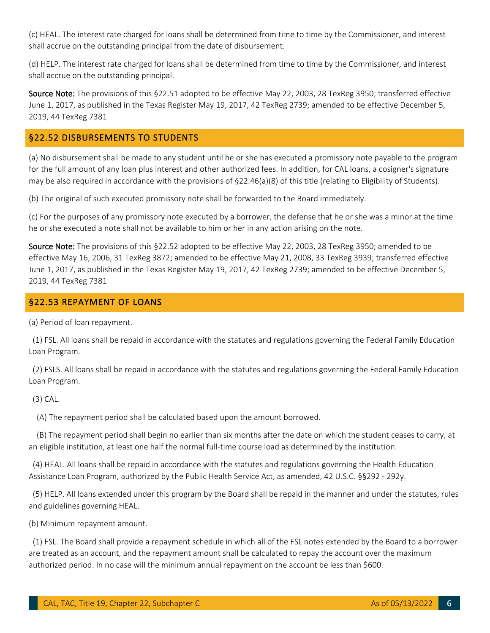(c) HEAL. The interest rate charged for loans shall be determined from time to time by the Commissioner, and interest shall accrue on the outstanding principal from the date of disbursement.

(d) HELP. The interest rate charged for loans shall be determined from time to time by the Commissioner, and interest shall accrue on the outstanding principal.

Source Note: The provisions of this §22.51 adopted to be effective May 22, 2003, 28 TexReg 3950; transferred effective June 1, 2017, as published in the Texas Register May 19, 2017, 42 TexReg 2739; amended to be effective December 5, 2019, 44 TexReg 7381

#### <span id="page-5-0"></span>§22.52 DISBURSEMENTS TO STUDENTS

(a) No disbursement shall be made to any student until he or she has executed a promissory note payable to the program for the full amount of any loan plus interest and other authorized fees. In addition, for CAL loans, a cosigner's signature may be also required in accordance with the provisions of §22.46(a)(8) of this title (relating to Eligibility of Students).

(b) The original of such executed promissory note shall be forwarded to the Board immediately.

(c) For the purposes of any promissory note executed by a borrower, the defense that he or she was a minor at the time he or she executed a note shall not be available to him or her in any action arising on the note.

Source Note: The provisions of this §22.52 adopted to be effective May 22, 2003, 28 TexReg 3950; amended to be effective May 16, 2006, 31 TexReg 3872; amended to be effective May 21, 2008, 33 TexReg 3939; transferred effective June 1, 2017, as published in the Texas Register May 19, 2017, 42 TexReg 2739; amended to be effective December 5, 2019, 44 TexReg 7381

#### <span id="page-5-1"></span>§22.53 REPAYMENT OF LOANS

<span id="page-5-2"></span>(a) Period of loan repayment.

(1) FSL. All loans shall be repaid in accordance with the statutes and regulations governing the Federal Family Education Loan Program.

(2) FSLS. All loans shall be repaid in accordance with the statutes and regulations governing the Federal Family Education Loan Program.

#### (3) CAL.

(A) The repayment period shall be calculated based upon the amount borrowed.

 (B) The repayment period shall begin no earlier than six months after the date on which the student ceases to carry, at an eligible institution, at least one half the normal full-time course load as determined by the institution.

(4) HEAL. All loans shall be repaid in accordance with the statutes and regulations governing the Health Education Assistance Loan Program, authorized by the Public Health Service Act, as amended, 42 U.S.C. §§292 - 292y.

(5) HELP. All loans extended under this program by the Board shall be repaid in the manner and under the statutes, rules and guidelines governing HEAL.

(b) Minimum repayment amount.

(1) FSL. The Board shall provide a repayment schedule in which all of the FSL notes extended by the Board to a borrower are treated as an account, and the repayment amount shall be calculated to repay the account over the maximum authorized period. In no case will the minimum annual repayment on the account be less than \$600.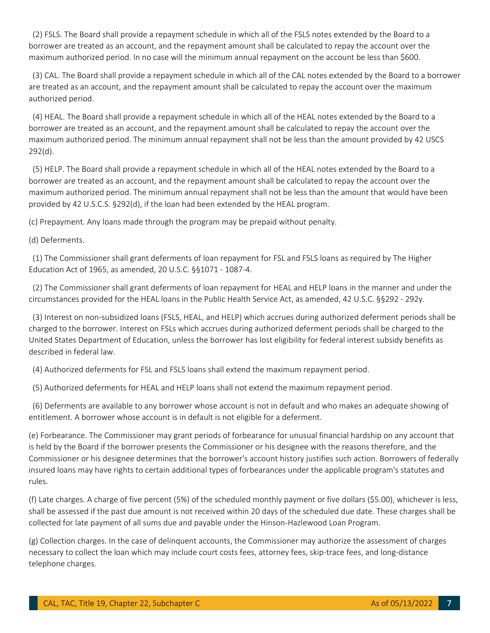(2) FSLS. The Board shall provide a repayment schedule in which all of the FSLS notes extended by the Board to a borrower are treated as an account, and the repayment amount shall be calculated to repay the account over the maximum authorized period. In no case will the minimum annual repayment on the account be less than \$600.

(3) CAL. The Board shall provide a repayment schedule in which all of the CAL notes extended by the Board to a borrower are treated as an account, and the repayment amount shall be calculated to repay the account over the maximum authorized period.

(4) HEAL. The Board shall provide a repayment schedule in which all of the HEAL notes extended by the Board to a borrower are treated as an account, and the repayment amount shall be calculated to repay the account over the maximum authorized period. The minimum annual repayment shall not be less than the amount provided by 42 USCS 292(d).

(5) HELP. The Board shall provide a repayment schedule in which all of the HEAL notes extended by the Board to a borrower are treated as an account, and the repayment amount shall be calculated to repay the account over the maximum authorized period. The minimum annual repayment shall not be less than the amount that would have been provided by 42 U.S.C.S. §292(d), if the loan had been extended by the HEAL program.

(c) Prepayment. Any loans made through the program may be prepaid without penalty.

(d) Deferments.

(1) The Commissioner shall grant deferments of loan repayment for FSL and FSLS loans as required by The Higher Education Act of 1965, as amended, 20 U.S.C. §§1071 - 1087-4.

(2) The Commissioner shall grant deferments of loan repayment for HEAL and HELP loans in the manner and under the circumstances provided for the HEAL loans in the Public Health Service Act, as amended, 42 U.S.C. §§292 - 292y.

(3) Interest on non-subsidized loans (FSLS, HEAL, and HELP) which accrues during authorized deferment periods shall be charged to the borrower. Interest on FSLs which accrues during authorized deferment periods shall be charged to the United States Department of Education, unless the borrower has lost eligibility for federal interest subsidy benefits as described in federal law.

(4) Authorized deferments for FSL and FSLS loans shall extend the maximum repayment period.

(5) Authorized deferments for HEAL and HELP loans shall not extend the maximum repayment period.

(6) Deferments are available to any borrower whose account is not in default and who makes an adequate showing of entitlement. A borrower whose account is in default is not eligible for a deferment.

(e) Forbearance. The Commissioner may grant periods of forbearance for unusual financial hardship on any account that is held by the Board if the borrower presents the Commissioner or his designee with the reasons therefore, and the Commissioner or his designee determines that the borrower's account history justifies such action. Borrowers of federally insured loans may have rights to certain additional types of forbearances under the applicable program's statutes and rules.

(f) Late charges. A charge of five percent (5%) of the scheduled monthly payment or five dollars (\$5.00), whichever is less, shall be assessed if the past due amount is not received within 20 days of the scheduled due date. These charges shall be collected for late payment of all sums due and payable under the Hinson-Hazlewood Loan Program.

(g) Collection charges. In the case of delinquent accounts, the Commissioner may authorize the assessment of charges necessary to collect the loan which may include court costs fees, attorney fees, skip-trace fees, and long-distance telephone charges.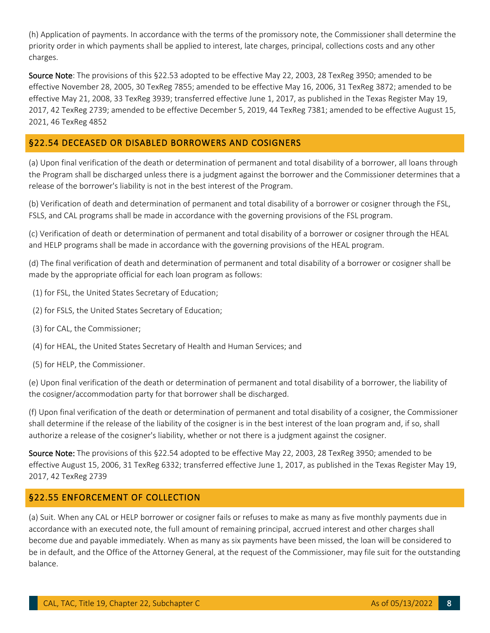(h) Application of payments. In accordance with the terms of the promissory note, the Commissioner shall determine the priority order in which payments shall be applied to interest, late charges, principal, collections costs and any other charges.

Source Note: The provisions of this §22.53 adopted to be effective May 22, 2003, 28 TexReg 3950; amended to be effective November 28, 2005, 30 TexReg 7855; amended to be effective May 16, 2006, 31 TexReg 3872; amended to be effective May 21, 2008, 33 TexReg 3939; transferred effective June 1, 2017, as published in the Texas Register May 19, 2017, 42 TexReg 2739; amended to be effective December 5, 2019, 44 TexReg 7381; amended to be effective August 15, 2021, 46 TexReg 4852

#### §22.54 DECEASED OR DISABLED BORROWERS AND COSIGNERS

(a) Upon final verification of the death or determination of permanent and total disability of a borrower, all loans through the Program shall be discharged unless there is a judgment against the borrower and the Commissioner determines that a release of the borrower's liability is not in the best interest of the Program.

(b) Verification of death and determination of permanent and total disability of a borrower or cosigner through the FSL, FSLS, and CAL programs shall be made in accordance with the governing provisions of the FSL program.

(c) Verification of death or determination of permanent and total disability of a borrower or cosigner through the HEAL and HELP programs shall be made in accordance with the governing provisions of the HEAL program.

(d) The final verification of death and determination of permanent and total disability of a borrower or cosigner shall be made by the appropriate official for each loan program as follows:

- (1) for FSL, the United States Secretary of Education;
- (2) for FSLS, the United States Secretary of Education;
- (3) for CAL, the Commissioner;
- (4) for HEAL, the United States Secretary of Health and Human Services; and
- (5) for HELP, the Commissioner.

(e) Upon final verification of the death or determination of permanent and total disability of a borrower, the liability of the cosigner/accommodation party for that borrower shall be discharged.

(f) Upon final verification of the death or determination of permanent and total disability of a cosigner, the Commissioner shall determine if the release of the liability of the cosigner is in the best interest of the loan program and, if so, shall authorize a release of the cosigner's liability, whether or not there is a judgment against the cosigner.

Source Note: The provisions of this §22.54 adopted to be effective May 22, 2003, 28 TexReg 3950; amended to be effective August 15, 2006, 31 TexReg 6332; transferred effective June 1, 2017, as published in the Texas Register May 19, 2017, 42 TexReg 2739

#### <span id="page-7-0"></span>§22.55 ENFORCEMENT OF COLLECTION

(a) Suit. When any CAL or HELP borrower or cosigner fails or refuses to make as many as five monthly payments due in accordance with an executed note, the full amount of remaining principal, accrued interest and other charges shall become due and payable immediately. When as many as six payments have been missed, the loan will be considered to be in default, and the Office of the Attorney General, at the request of the Commissioner, may file suit for the outstanding balance.